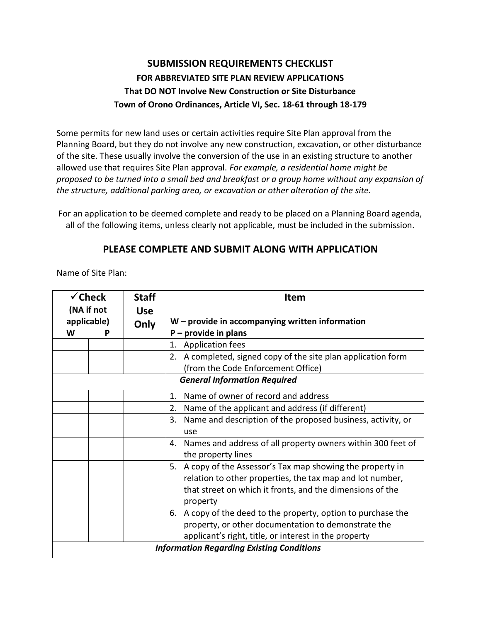## **SUBMISSION REQUIREMENTS CHECKLIST FOR ABBREVIATED SITE PLAN REVIEW APPLICATIONS That DO NOT Involve New Construction or Site Disturbance Town of Orono Ordinances, Article VI, Sec. 18-61 through 18-179**

Some permits for new land uses or certain activities require Site Plan approval from the Planning Board, but they do not involve any new construction, excavation, or other disturbance of the site. These usually involve the conversion of the use in an existing structure to another allowed use that requires Site Plan approval. *For example, a residential home might be proposed to be turned into a small bed and breakfast or a group home without any expansion of the structure, additional parking area, or excavation or other alteration of the site.*

For an application to be deemed complete and ready to be placed on a Planning Board agenda, all of the following items, unless clearly not applicable, must be included in the submission.

## **PLEASE COMPLETE AND SUBMIT ALONG WITH APPLICATION**

Name of Site Plan:

| $\checkmark$ Check                  |                                                  | <b>Staff</b> | <b>Item</b>                                                       |  |  |  |
|-------------------------------------|--------------------------------------------------|--------------|-------------------------------------------------------------------|--|--|--|
| (NA if not                          |                                                  | <b>Use</b>   |                                                                   |  |  |  |
| applicable)                         |                                                  | Only         | $W$ – provide in accompanying written information                 |  |  |  |
| W                                   |                                                  |              | $P$ – provide in plans                                            |  |  |  |
|                                     |                                                  |              | <b>Application fees</b><br>1.                                     |  |  |  |
|                                     |                                                  |              | A completed, signed copy of the site plan application form<br>2.  |  |  |  |
|                                     |                                                  |              | (from the Code Enforcement Office)                                |  |  |  |
| <b>General Information Required</b> |                                                  |              |                                                                   |  |  |  |
|                                     |                                                  |              | Name of owner of record and address<br>$\mathbf{1}$ .             |  |  |  |
|                                     |                                                  |              | Name of the applicant and address (if different)<br>2.            |  |  |  |
|                                     |                                                  |              | Name and description of the proposed business, activity, or<br>3. |  |  |  |
|                                     |                                                  |              | use                                                               |  |  |  |
|                                     |                                                  |              | Names and address of all property owners within 300 feet of<br>4. |  |  |  |
|                                     |                                                  |              | the property lines                                                |  |  |  |
|                                     |                                                  |              | 5. A copy of the Assessor's Tax map showing the property in       |  |  |  |
|                                     |                                                  |              | relation to other properties, the tax map and lot number,         |  |  |  |
|                                     |                                                  |              | that street on which it fronts, and the dimensions of the         |  |  |  |
|                                     |                                                  |              | property                                                          |  |  |  |
|                                     |                                                  |              | A copy of the deed to the property, option to purchase the<br>6.  |  |  |  |
|                                     |                                                  |              | property, or other documentation to demonstrate the               |  |  |  |
|                                     |                                                  |              | applicant's right, title, or interest in the property             |  |  |  |
|                                     | <b>Information Regarding Existing Conditions</b> |              |                                                                   |  |  |  |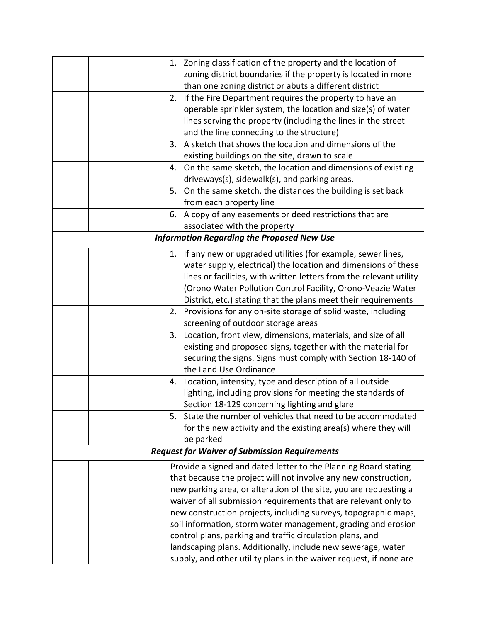|                                                   |  |    | 1. Zoning classification of the property and the location of        |  |  |
|---------------------------------------------------|--|----|---------------------------------------------------------------------|--|--|
|                                                   |  |    | zoning district boundaries if the property is located in more       |  |  |
|                                                   |  |    | than one zoning district or abuts a different district              |  |  |
|                                                   |  | 2. | If the Fire Department requires the property to have an             |  |  |
|                                                   |  |    | operable sprinkler system, the location and size(s) of water        |  |  |
|                                                   |  |    | lines serving the property (including the lines in the street       |  |  |
|                                                   |  |    | and the line connecting to the structure)                           |  |  |
|                                                   |  | 3. | A sketch that shows the location and dimensions of the              |  |  |
|                                                   |  |    | existing buildings on the site, drawn to scale                      |  |  |
|                                                   |  |    | 4. On the same sketch, the location and dimensions of existing      |  |  |
|                                                   |  |    | driveways(s), sidewalk(s), and parking areas.                       |  |  |
|                                                   |  | 5. | On the same sketch, the distances the building is set back          |  |  |
|                                                   |  |    | from each property line                                             |  |  |
|                                                   |  |    | 6. A copy of any easements or deed restrictions that are            |  |  |
|                                                   |  |    | associated with the property                                        |  |  |
| <b>Information Regarding the Proposed New Use</b> |  |    |                                                                     |  |  |
|                                                   |  |    | 1. If any new or upgraded utilities (for example, sewer lines,      |  |  |
|                                                   |  |    | water supply, electrical) the location and dimensions of these      |  |  |
|                                                   |  |    | lines or facilities, with written letters from the relevant utility |  |  |
|                                                   |  |    | (Orono Water Pollution Control Facility, Orono-Veazie Water         |  |  |
|                                                   |  |    | District, etc.) stating that the plans meet their requirements      |  |  |
|                                                   |  |    | 2. Provisions for any on-site storage of solid waste, including     |  |  |
|                                                   |  |    | screening of outdoor storage areas                                  |  |  |
|                                                   |  | 3. | Location, front view, dimensions, materials, and size of all        |  |  |
|                                                   |  |    | existing and proposed signs, together with the material for         |  |  |
|                                                   |  |    | securing the signs. Signs must comply with Section 18-140 of        |  |  |
|                                                   |  |    | the Land Use Ordinance                                              |  |  |
|                                                   |  | 4. | Location, intensity, type and description of all outside            |  |  |
|                                                   |  |    | lighting, including provisions for meeting the standards of         |  |  |
|                                                   |  |    | Section 18-129 concerning lighting and glare                        |  |  |
|                                                   |  | 5. | State the number of vehicles that need to be accommodated           |  |  |
|                                                   |  |    | for the new activity and the existing area(s) where they will       |  |  |
|                                                   |  |    | be parked                                                           |  |  |
|                                                   |  |    | <b>Request for Waiver of Submission Requirements</b>                |  |  |
|                                                   |  |    | Provide a signed and dated letter to the Planning Board stating     |  |  |
|                                                   |  |    | that because the project will not involve any new construction,     |  |  |
|                                                   |  |    | new parking area, or alteration of the site, you are requesting a   |  |  |
|                                                   |  |    | waiver of all submission requirements that are relevant only to     |  |  |
|                                                   |  |    | new construction projects, including surveys, topographic maps,     |  |  |
|                                                   |  |    | soil information, storm water management, grading and erosion       |  |  |
|                                                   |  |    | control plans, parking and traffic circulation plans, and           |  |  |
|                                                   |  |    | landscaping plans. Additionally, include new sewerage, water        |  |  |
|                                                   |  |    | supply, and other utility plans in the waiver request, if none are  |  |  |